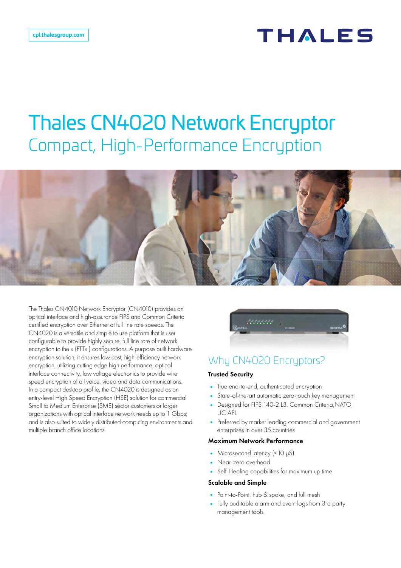# THALES

# Thales CN4020 Network Encryptor Compact, High-Performance Encryption

The Thales CN4010 Network Encryptor (CN4010) provides an optical interface and high-assurance FIPS and Common Criteria certified encryption over Ethernet at full line rate speeds. The CN4020 is a versatile and simple to use platform that is user configurable to provide highly secure, full line rate of network encryption to the x (FTTx ) configurations. A purpose built hardware encryption solution, it ensures low cost, high-efficiency network encryption, utilizing cutting edge high performance, optical interface connectivity, low voltage electronics to provide wire speed encryption of all voice, video and data communications. In a compact desktop profile, the CN4020 is designed as an entry-level High Speed Encryption (HSE) solution for commercial Small to Medium Enterprise (SME) sector customers or larger organizations with optical interface network needs up to 1 Gbps; and is also suited to widely distributed computing environments and multiple branch office locations.



## Why CN4020 Encryptors?

#### Trusted Security

- True end-to-end, authenticated encryption
- State-of-the-art automatic zero-touch key management
- Designed for FIPS 140-2 L3, Common Criteria,NATO, UC APL
- Preferred by market leading commercial and government enterprises in over 35 countries

#### Maximum Network Performance

- Microsecond latency (<10 μS)
- Near-zero overhead
- Self-Healing capabilities for maximum up time

#### Scalable and Simple

- Point-to-Point, hub & spoke, and full mesh
- Fully auditable alarm and event logs from 3rd party management tools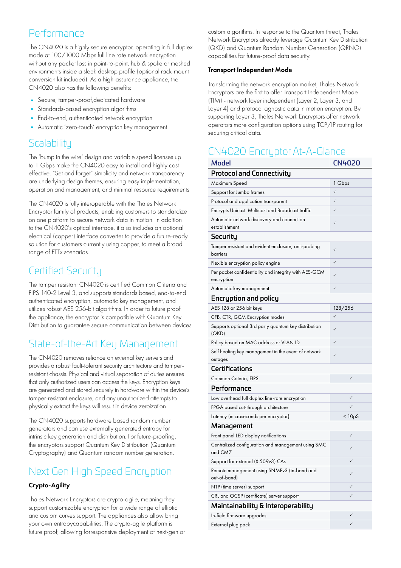### Performance

The CN4020 is a highly secure encryptor, operating in full duplex mode at 100/1000 Mbps full line rate network encryption without any packet loss in point-to-point, hub & spoke or meshed environments inside a sleek desktop profile (optional rack-mount conversion kit included). As a high-assurance appliance, the CN4020 also has the following benefits:

- Secure, tamper-proof,dedicated hardware
- Standards-based encryption algorithms
- End-to-end, authenticated network encryption
- Automatic 'zero-touch' encryption key management

### **Scalability**

The 'bump in the wire' design and variable speed licenses up to 1 Gbps make the CN4020 easy to install and highly cost effective. "Set and forget" simplicity and network transparency are underlying design themes, ensuring easy implementation, operation and management, and minimal resource requirements.

The CN4020 is fully interoperable with the Thales Network Encryptor family of products, enabling customers to standardize on one platform to secure network data in motion. In addition to the CN4020's optical interface, it also includes an optional electrical (copper) interface converter to provide a future-ready solution for customers currently using copper, to meet a broad range of FTTx scenarios.

### Certified Security

The tamper resistant CN4020 is certified Common Criteria and FIPS 140-2 Level 3, and supports standards based, end-to-end authenticated encryption, automatic key management, and utilizes robust AES 256-bit algorithms. In order to future proof the appliance, the encryptor is compatible with Quantum Key Distribution to guarantee secure communication between devices.

## State-of-the-Art Key Management

The CN4020 removes reliance on external key servers and provides a robust fault-tolerant security architecture and tamperresistant chassis. Physical and virtual separation of duties ensures that only authorized users can access the keys. Encryption keys are generated and stored securely in hardware within the device's tamper-resistant enclosure, and any unauthorized attempts to physically extract the keys will result in device zeroization.

The CN4020 supports hardware based random number generators and can use externally generated entropy for intrinsic key generation and distribution. For future-proofing, the encryptors support Quantum Key Distribution (Quantum Cryptography) and Quantum random number generation.

## Next Gen High Speed Encryption

### Crypto-Agility

Thales Network Encryptors are crypto-agile, meaning they support customizable encryption for a wide range of elliptic and custom curves support. The appliances also allow bring your own entropycapabilities. The crypto-agile platform is future proof, allowing forresponsive deployment of next-gen or

custom algorithms. In response to the Quantum threat, Thales Network Encryptors already leverage Quantum Key Distribution (QKD) and Quantum Random Number Generation (QRNG) capabilities for future-proof data security.

### Transport Independent Mode

Transforming the network encryption market, Thales Network Encryptors are the first to offer Transport Independent Mode (TIM) - network layer independent (Layer 2, Layer 3, and Layer 4) and protocol agnostic data in motion encryption. By supporting Layer 3, Thales Network Encryptors offer network operators more configuration options using TCP/IP routing for securing critical data.

# CN4020 Encruptor At-A-Glance

| <b>Model</b>                                                        | <b>CN4020</b> |
|---------------------------------------------------------------------|---------------|
| <b>Protocol and Connectivity</b>                                    |               |
| Maximum Speed                                                       | 1 Gbps        |
| Support for Jumbo frames                                            | ✓             |
| Protocol and application transparent                                | $\checkmark$  |
| Encrypts Unicast. Multicast and Broadcast traffic                   | ✓             |
| Automatic network discovery and connection<br>establishment         | ✓             |
| Security                                                            |               |
| Tamper resistant and evident enclosure, anti-probing<br>barriers    | ✓             |
| Flexible encryption policy engine                                   | ✓             |
| Per packet confidentiality and integrity with AES-GCM<br>encryption |               |
| Automatic key management                                            | ✓             |
| <b>Encryption and policy</b>                                        |               |
| AES 128 or 256 bit keys                                             | 128/256       |
| CFB, CTR, GCM Encryption modes                                      | ✓             |
| Supports optional 3rd party quantum key distribution<br>(QKD)       | ✓             |
| Policy based on MAC address or VLAN ID                              | ✓             |
| Self healing key management in the event of network<br>outages      | ✓             |
| Certifications                                                      |               |
| Common Criteria, FIPS                                               | ✓             |
| Performance                                                         |               |
| Low overhead full duplex line-rate encryption                       | ✓             |
| FPGA based cut-through architecture                                 | ✓             |
| Latency (microseconds per encryptor)                                | $< 10\muS$    |
| Management                                                          |               |
| Front panel LED display notifications                               | ✓             |
| Centralized configuration and management using SMC<br>and CM7       | ✓             |
| Support for external (X.509v3) CAs                                  |               |
| Remote management using SNMPv3 (in-band and<br>out-of-band)         | ✓             |
| NTP (time server) support                                           | ✓             |
| CRL and OCSP (certificate) server support                           |               |
| Maintainability & Interoperability                                  |               |
| In-field firmware upgrades                                          | ✓             |
| External plug pack                                                  | $\checkmark$  |